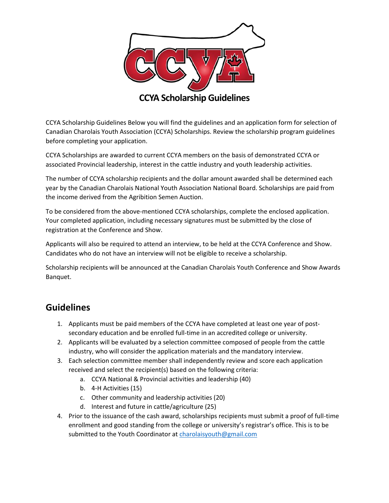

CCYA Scholarship Guidelines Below you will find the guidelines and an application form for selection of Canadian Charolais Youth Association (CCYA) Scholarships. Review the scholarship program guidelines before completing your application.

CCYA Scholarships are awarded to current CCYA members on the basis of demonstrated CCYA or associated Provincial leadership, interest in the cattle industry and youth leadership activities.

The number of CCYA scholarship recipients and the dollar amount awarded shall be determined each year by the Canadian Charolais National Youth Association National Board. Scholarships are paid from the income derived from the Agribition Semen Auction.

To be considered from the above-mentioned CCYA scholarships, complete the enclosed application. Your completed application, including necessary signatures must be submitted by the close of registration at the Conference and Show.

Applicants will also be required to attend an interview, to be held at the CCYA Conference and Show. Candidates who do not have an interview will not be eligible to receive a scholarship.

Scholarship recipients will be announced at the Canadian Charolais Youth Conference and Show Awards Banquet.

### **Guidelines**

- 1. Applicants must be paid members of the CCYA have completed at least one year of postsecondary education and be enrolled full-time in an accredited college or university.
- 2. Applicants will be evaluated by a selection committee composed of people from the cattle industry, who will consider the application materials and the mandatory interview.
- 3. Each selection committee member shall independently review and score each application received and select the recipient(s) based on the following criteria:
	- a. CCYA National & Provincial activities and leadership (40)
	- b. 4-H Activities (15)
	- c. Other community and leadership activities (20)
	- d. Interest and future in cattle/agriculture (25)
- 4. Prior to the issuance of the cash award, scholarships recipients must submit a proof of full-time enrollment and good standing from the college or university's registrar's office. This is to be submitted to the Youth Coordinator a[t charolaisyouth@gmail.com](mailto:charolaisyouth@gmail.com)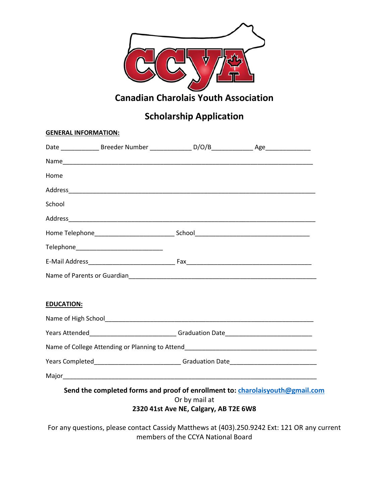

### **Canadian Charolais Youth Association**

# **Scholarship Application**

| <b>GENERAL INFORMATION:</b> |                                                                                  |                                       |                                                                                                     |
|-----------------------------|----------------------------------------------------------------------------------|---------------------------------------|-----------------------------------------------------------------------------------------------------|
|                             |                                                                                  |                                       |                                                                                                     |
|                             |                                                                                  |                                       |                                                                                                     |
| Home                        |                                                                                  |                                       |                                                                                                     |
|                             |                                                                                  |                                       |                                                                                                     |
| School                      |                                                                                  |                                       |                                                                                                     |
|                             |                                                                                  |                                       |                                                                                                     |
|                             |                                                                                  |                                       |                                                                                                     |
|                             |                                                                                  |                                       |                                                                                                     |
|                             |                                                                                  |                                       |                                                                                                     |
|                             |                                                                                  |                                       |                                                                                                     |
| <b>EDUCATION:</b>           |                                                                                  |                                       |                                                                                                     |
|                             |                                                                                  |                                       |                                                                                                     |
|                             | Years Attended_______________________________Graduation Date____________________ |                                       |                                                                                                     |
|                             |                                                                                  |                                       | Name of College Attending or Planning to Attend Name of College Attend Name of College Attending or |
|                             |                                                                                  |                                       | Years Completed________________________________Graduation Date__________________                    |
|                             |                                                                                  |                                       |                                                                                                     |
|                             |                                                                                  |                                       | Send the completed forms and proof of enrollment to: charolaisyouth@gmail.com                       |
|                             |                                                                                  | Or by mail at                         |                                                                                                     |
|                             |                                                                                  | 2320 41st Ave NE, Calgary, AB T2E 6W8 |                                                                                                     |

For any questions, please contact Cassidy Matthews at (403).250.9242 Ext: 121 OR any current members of the CCYA National Board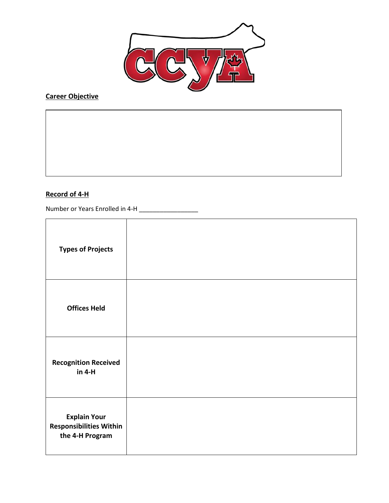

## **Career Objective**

#### **Record of 4-H**

Number or Years Enrolled in 4-H \_\_\_\_\_\_\_\_\_\_\_\_\_\_\_\_\_

| <b>Types of Projects</b>                                                 |  |
|--------------------------------------------------------------------------|--|
| <b>Offices Held</b>                                                      |  |
| <b>Recognition Received</b><br>$in 4-H$                                  |  |
| <b>Explain Your</b><br><b>Responsibilities Within</b><br>the 4-H Program |  |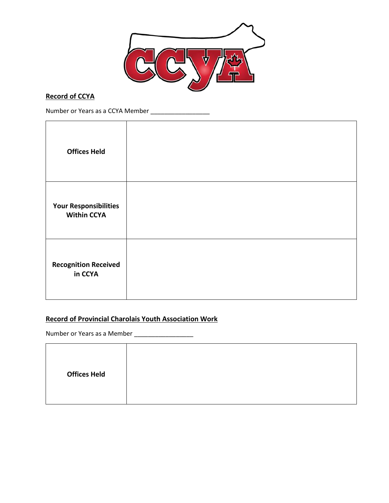

#### **Record of CCYA**

Number or Years as a CCYA Member \_\_\_\_\_\_\_\_\_\_\_\_\_\_\_\_\_

| <b>Offices Held</b>                                |  |
|----------------------------------------------------|--|
| <b>Your Responsibilities</b><br><b>Within CCYA</b> |  |
| <b>Recognition Received</b><br>in CCYA             |  |

#### **Record of Provincial Charolais Youth Association Work**

Number or Years as a Member \_\_\_\_\_\_\_\_\_\_\_\_\_\_\_\_\_

| <b>Offices Held</b> |  |  |  |
|---------------------|--|--|--|
|---------------------|--|--|--|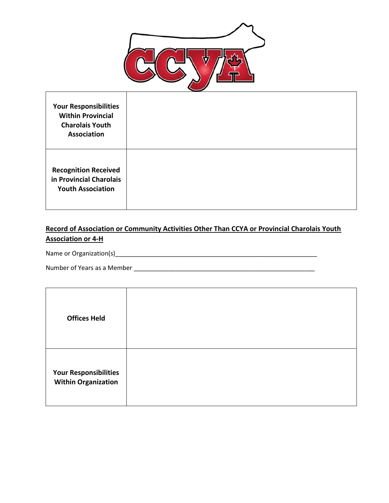

| <b>Your Responsibilities</b><br><b>Within Provincial</b><br><b>Charolais Youth</b><br><b>Association</b> |  |
|----------------------------------------------------------------------------------------------------------|--|
| <b>Recognition Received</b><br>in Provincial Charolais<br><b>Youth Association</b>                       |  |

#### **Record of Association or Community Activities Other Than CCYA or Provincial Charolais Youth Association or 4-H**

Name or Organization(s)\_\_\_\_\_\_\_\_\_\_\_\_\_\_\_\_\_\_\_\_\_\_\_\_\_\_\_\_\_\_\_\_\_\_\_\_\_\_\_\_\_\_\_\_\_\_\_\_\_\_\_\_\_\_\_\_\_\_

Number of Years as a Member \_\_\_\_\_\_\_\_\_\_\_\_\_\_\_\_\_\_\_\_\_\_\_\_\_\_\_\_\_\_\_\_\_\_\_\_\_\_\_\_\_\_\_\_\_\_\_\_\_\_\_\_

| <b>Offices Held</b>                                        |  |
|------------------------------------------------------------|--|
| <b>Your Responsibilities</b><br><b>Within Organization</b> |  |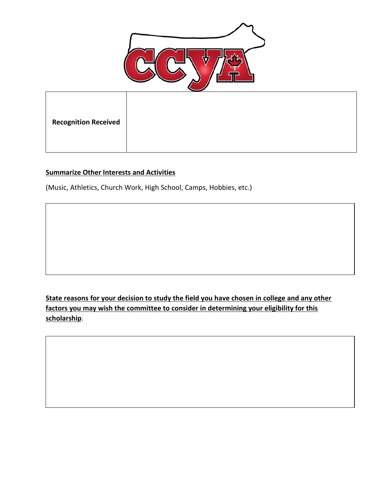

| <b>Recognition Received</b> |  |  |
|-----------------------------|--|--|

#### **Summarize Other Interests and Activities**

(Music, Athletics, Church Work, High School, Camps, Hobbies, etc.)

**State reasons for your decision to study the field you have chosen in college and any other factors you may wish the committee to consider in determining your eligibility for this scholarship**.